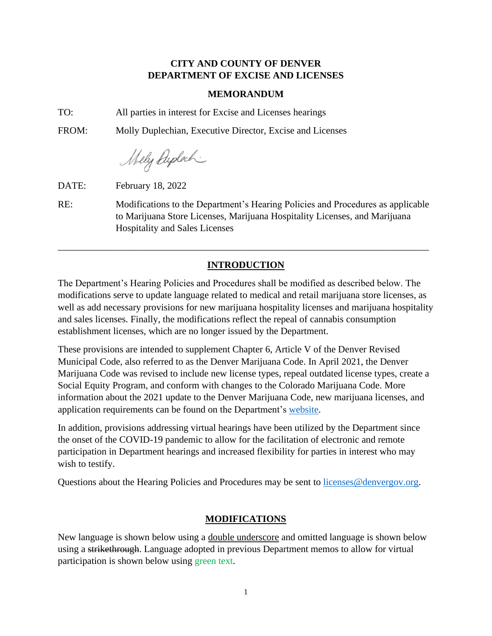## **CITY AND COUNTY OF DENVER DEPARTMENT OF EXCISE AND LICENSES**

## **MEMORANDUM**

TO: All parties in interest for Excise and Licenses hearings

FROM: Molly Duplechian, Executive Director, Excise and Licenses

Mely Dyplach

DATE: February 18, 2022

RE: Modifications to the Department's Hearing Policies and Procedures as applicable to Marijuana Store Licenses, Marijuana Hospitality Licenses, and Marijuana Hospitality and Sales Licenses

\_\_\_\_\_\_\_\_\_\_\_\_\_\_\_\_\_\_\_\_\_\_\_\_\_\_\_\_\_\_\_\_\_\_\_\_\_\_\_\_\_\_\_\_\_\_\_\_\_\_\_\_\_\_\_\_\_\_\_\_\_\_\_\_\_\_\_\_\_\_\_\_\_\_\_\_\_

# **INTRODUCTION**

The Department's Hearing Policies and Procedures shall be modified as described below. The modifications serve to update language related to medical and retail marijuana store licenses, as well as add necessary provisions for new marijuana hospitality licenses and marijuana hospitality and sales licenses. Finally, the modifications reflect the repeal of cannabis consumption establishment licenses, which are no longer issued by the Department.

These provisions are intended to supplement Chapter 6, Article V of the Denver Revised Municipal Code, also referred to as the Denver Marijuana Code. In April 2021, the Denver Marijuana Code was revised to include new license types, repeal outdated license types, create a Social Equity Program, and conform with changes to the Colorado Marijuana Code. More information about the 2021 update to the Denver Marijuana Code, new marijuana licenses, and application requirements can be found on the Department's [website.](https://www.denvergov.org/Government/Agencies-Departments-Offices/Agencies-Departments-Offices-Directory/Marijuana-Information)

In addition, provisions addressing virtual hearings have been utilized by the Department since the onset of the COVID-19 pandemic to allow for the facilitation of electronic and remote participation in Department hearings and increased flexibility for parties in interest who may wish to testify.

Questions about the Hearing Policies and Procedures may be sent to [licenses@denvergov.org.](mailto:licenses@denvergov.org)

## **MODIFICATIONS**

New language is shown below using a double underscore and omitted language is shown below using a strikethrough. Language adopted in previous Department memos to allow for virtual participation is shown below using green text.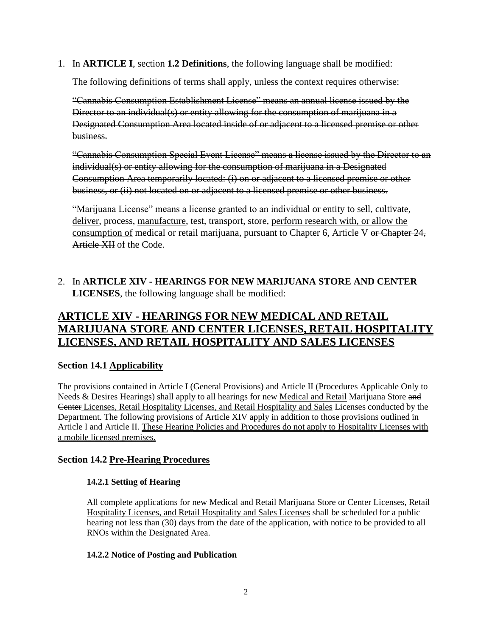1. In **ARTICLE I**, section **1.2 Definitions**, the following language shall be modified:

The following definitions of terms shall apply, unless the context requires otherwise:

"Cannabis Consumption Establishment License" means an annual license issued by the Director to an individual(s) or entity allowing for the consumption of marijuana in a Designated Consumption Area located inside of or adjacent to a licensed premise or other business.

"Cannabis Consumption Special Event License" means a license issued by the Director to an individual(s) or entity allowing for the consumption of marijuana in a Designated Consumption Area temporarily located: (i) on or adjacent to a licensed premise or other business, or (ii) not located on or adjacent to a licensed premise or other business.

"Marijuana License" means a license granted to an individual or entity to sell, cultivate, deliver, process, manufacture, test, transport, store, perform research with, or allow the consumption of medical or retail marijuana, pursuant to Chapter 6, Article V or Chapter 24, Article XII of the Code.

# 2. In **ARTICLE XIV - HEARINGS FOR NEW MARIJUANA STORE AND CENTER LICENSES**, the following language shall be modified:

# **ARTICLE XIV - HEARINGS FOR NEW MEDICAL AND RETAIL MARIJUANA STORE AND CENTER LICENSES, RETAIL HOSPITALITY LICENSES, AND RETAIL HOSPITALITY AND SALES LICENSES**

## **Section 14.1 Applicability**

The provisions contained in Article I (General Provisions) and Article II (Procedures Applicable Only to Needs & Desires Hearings) shall apply to all hearings for new Medical and Retail Marijuana Store and Center Licenses, Retail Hospitality Licenses, and Retail Hospitality and Sales Licenses conducted by the Department. The following provisions of Article XIV apply in addition to those provisions outlined in Article I and Article II. These Hearing Policies and Procedures do not apply to Hospitality Licenses with a mobile licensed premises.

## **Section 14.2 Pre-Hearing Procedures**

## **14.2.1 Setting of Hearing**

All complete applications for new Medical and Retail Marijuana Store or Center Licenses, Retail Hospitality Licenses, and Retail Hospitality and Sales Licenses shall be scheduled for a public hearing not less than (30) days from the date of the application, with notice to be provided to all RNOs within the Designated Area.

## **14.2.2 Notice of Posting and Publication**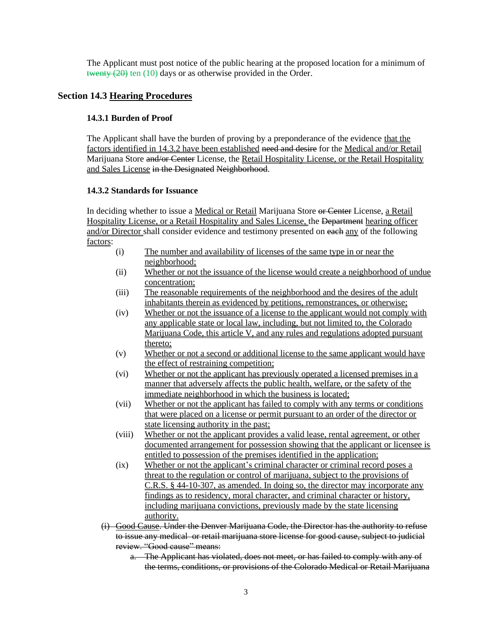The Applicant must post notice of the public hearing at the proposed location for a minimum of twenty  $(20)$  ten  $(10)$  days or as otherwise provided in the Order.

## **Section 14.3 Hearing Procedures**

#### **14.3.1 Burden of Proof**

The Applicant shall have the burden of proving by a preponderance of the evidence that the factors identified in 14.3.2 have been established need and desire for the Medical and/or Retail Marijuana Store and/or Center License, the Retail Hospitality License, or the Retail Hospitality and Sales License in the Designated Neighborhood.

#### **14.3.2 Standards for Issuance**

In deciding whether to issue a Medical or Retail Marijuana Store or Center License, a Retail Hospitality License, or a Retail Hospitality and Sales License, the Department hearing officer and/or Director shall consider evidence and testimony presented on each any of the following factors:

- (i) The number and availability of licenses of the same type in or near the neighborhood;
- (ii) Whether or not the issuance of the license would create a neighborhood of undue concentration;
- (iii) The reasonable requirements of the neighborhood and the desires of the adult inhabitants therein as evidenced by petitions, remonstrances, or otherwise;
- (iv) Whether or not the issuance of a license to the applicant would not comply with any applicable state or local law, including, but not limited to, the Colorado Marijuana Code, this article V, and any rules and regulations adopted pursuant thereto;
- (v) Whether or not a second or additional license to the same applicant would have the effect of restraining competition;
- (vi) Whether or not the applicant has previously operated a licensed premises in a manner that adversely affects the public health, welfare, or the safety of the immediate neighborhood in which the business is located;
- (vii) Whether or not the applicant has failed to comply with any terms or conditions that were placed on a license or permit pursuant to an order of the director or state licensing authority in the past;
- (viii) Whether or not the applicant provides a valid lease, rental agreement, or other documented arrangement for possession showing that the applicant or licensee is entitled to possession of the premises identified in the application;
- (ix) Whether or not the applicant's criminal character or criminal record poses a threat to the regulation or control of marijuana, subject to the provisions of C.R.S. § 44-10-307, as amended. In doing so, the director may incorporate any findings as to residency, moral character, and criminal character or history, including marijuana convictions, previously made by the state licensing authority.
- (i) Good Cause. Under the Denver Marijuana Code, the Director has the authority to refuse to issue any medical or retail marijuana store license for good cause, subject to judicial review. "Good cause" means:
	- a. The Applicant has violated, does not meet, or has failed to comply with any of the terms, conditions, or provisions of the Colorado Medical or Retail Marijuana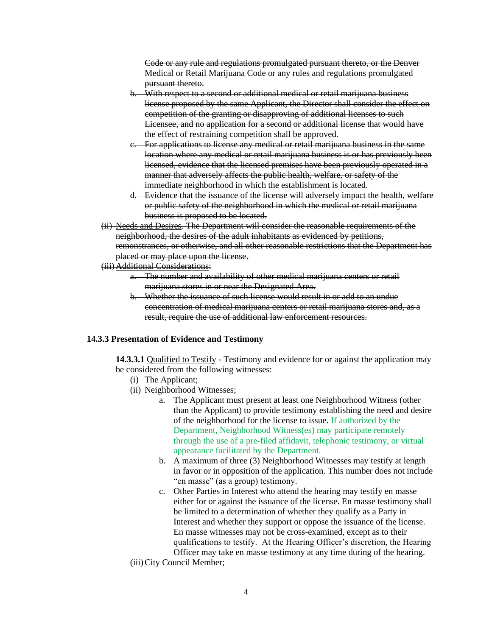Code or any rule and regulations promulgated pursuant thereto, or the Denver Medical or Retail Marijuana Code or any rules and regulations promulgated pursuant thereto.

- b. With respect to a second or additional medical or retail marijuana business license proposed by the same Applicant, the Director shall consider the effect on competition of the granting or disapproving of additional licenses to such Licensee, and no application for a second or additional license that would have the effect of restraining competition shall be approved.
- For applications to license any medical or retail marijuana business in the same location where any medical or retail marijuana business is or has previously been licensed, evidence that the licensed premises have been previously operated in a manner that adversely affects the public health, welfare, or safety of the immediate neighborhood in which the establishment is located.
- d. Evidence that the issuance of the license will adversely impact the health, welfare or public safety of the neighborhood in which the medical or retail marijuana business is proposed to be located.
- (ii) Needs and Desires. The Department will consider the reasonable requirements of the neighborhood, the desires of the adult inhabitants as evidenced by petitions, remonstrances, or otherwise, and all other reasonable restrictions that the Department has placed or may place upon the license.

#### (iii)Additional Considerations:

- a. The number and availability of other medical marijuana centers or retail marijuana stores in or near the Designated Area.
- b. Whether the issuance of such license would result in or add to an undue concentration of medical marijuana centers or retail marijuana stores and, as a result, require the use of additional law enforcement resources.

#### **14.3.3 Presentation of Evidence and Testimony**

**14.3.3.1** Qualified to Testify - Testimony and evidence for or against the application may be considered from the following witnesses:

- (i) The Applicant;
- (ii) Neighborhood Witnesses;
	- a. The Applicant must present at least one Neighborhood Witness (other than the Applicant) to provide testimony establishing the need and desire of the neighborhood for the license to issue. If authorized by the Department, Neighborhood Witness(es) may participate remotely through the use of a pre-filed affidavit, telephonic testimony, or virtual appearance facilitated by the Department.
	- b. A maximum of three (3) Neighborhood Witnesses may testify at length in favor or in opposition of the application. This number does not include "en masse" (as a group) testimony.
	- c. Other Parties in Interest who attend the hearing may testify en masse either for or against the issuance of the license. En masse testimony shall be limited to a determination of whether they qualify as a Party in Interest and whether they support or oppose the issuance of the license. En masse witnesses may not be cross-examined, except as to their qualifications to testify. At the Hearing Officer's discretion, the Hearing Officer may take en masse testimony at any time during of the hearing.
- (iii)City Council Member;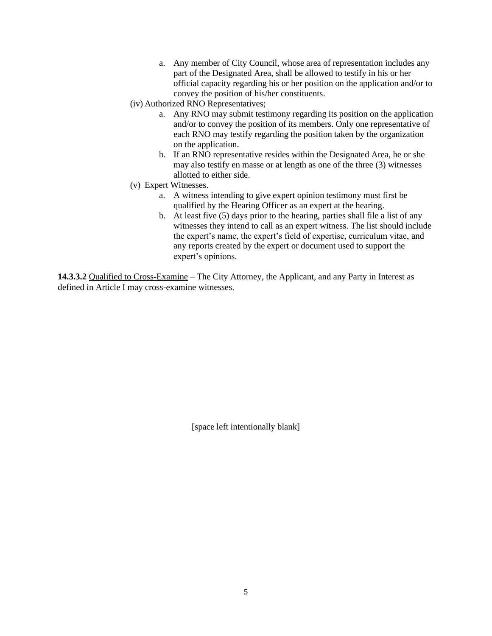- a. Any member of City Council, whose area of representation includes any part of the Designated Area, shall be allowed to testify in his or her official capacity regarding his or her position on the application and/or to convey the position of his/her constituents.
- (iv) Authorized RNO Representatives;
	- a. Any RNO may submit testimony regarding its position on the application and/or to convey the position of its members. Only one representative of each RNO may testify regarding the position taken by the organization on the application.
	- b. If an RNO representative resides within the Designated Area, he or she may also testify en masse or at length as one of the three (3) witnesses allotted to either side.
- (v) Expert Witnesses.
	- a. A witness intending to give expert opinion testimony must first be qualified by the Hearing Officer as an expert at the hearing.
	- b. At least five (5) days prior to the hearing, parties shall file a list of any witnesses they intend to call as an expert witness. The list should include the expert's name, the expert's field of expertise, curriculum vitae, and any reports created by the expert or document used to support the expert's opinions.

**14.3.3.2** Qualified to Cross-Examine – The City Attorney, the Applicant, and any Party in Interest as defined in Article I may cross-examine witnesses.

[space left intentionally blank]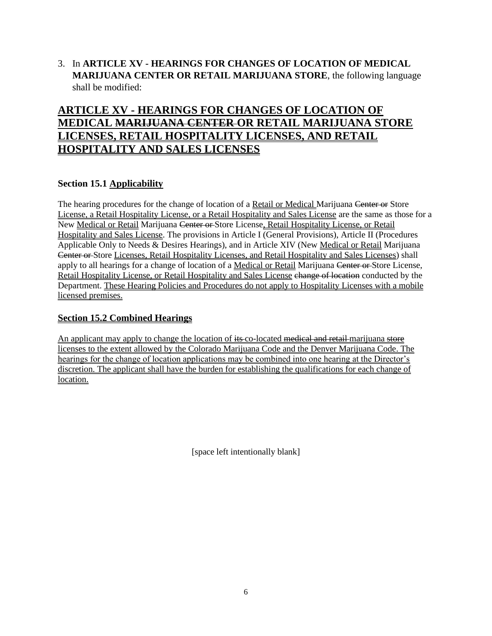3. In **ARTICLE XV - HEARINGS FOR CHANGES OF LOCATION OF MEDICAL MARIJUANA CENTER OR RETAIL MARIJUANA STORE**, the following language shall be modified:

# **ARTICLE XV - HEARINGS FOR CHANGES OF LOCATION OF MEDICAL MARIJUANA CENTER OR RETAIL MARIJUANA STORE LICENSES, RETAIL HOSPITALITY LICENSES, AND RETAIL HOSPITALITY AND SALES LICENSES**

## **Section 15.1 Applicability**

The hearing procedures for the change of location of a Retail or Medical Marijuana Center or Store License, a Retail Hospitality License, or a Retail Hospitality and Sales License are the same as those for a New Medical or Retail Marijuana Center or Store License, Retail Hospitality License, or Retail Hospitality and Sales License. The provisions in Article I (General Provisions), Article II (Procedures Applicable Only to Needs & Desires Hearings), and in Article XIV (New Medical or Retail Marijuana Center or Store Licenses, Retail Hospitality Licenses, and Retail Hospitality and Sales Licenses) shall apply to all hearings for a change of location of a Medical or Retail Marijuana Center or Store License, Retail Hospitality License, or Retail Hospitality and Sales License change of location conducted by the Department. These Hearing Policies and Procedures do not apply to Hospitality Licenses with a mobile licensed premises.

## **Section 15.2 Combined Hearings**

An applicant may apply to change the location of its co-located medical and retail marijuana store licenses to the extent allowed by the Colorado Marijuana Code and the Denver Marijuana Code. The hearings for the change of location applications may be combined into one hearing at the Director's discretion. The applicant shall have the burden for establishing the qualifications for each change of location.

[space left intentionally blank]